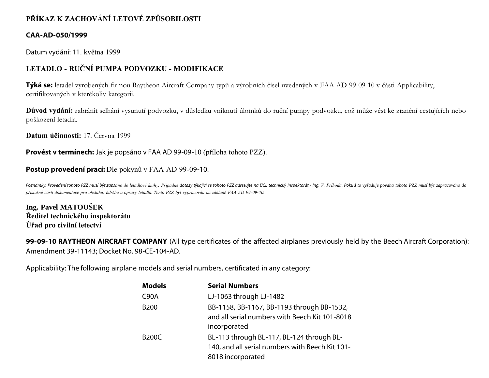# **PŘÍKAZ K ZACHOVÁNÍ LETOVÉ ZPŮSOBILOSTI**

### **CAA-AD-050/1999**

Datum vydání: 11. května 1999

## **LETADLO - RUČNÍ PUMPA PODVOZKU - MODIFIKACE**

**Týká se:** letadel vyrobených firmou Raytheon Aircraft Company typů a výrobních čísel uvedených v FAA AD 99-09-10 v části Applicability, certifikovaných v kterékoliv kategorii.

**Důvod vydání:** zabránit selhání vysunutí podvozku, v důsledku vniknutí úlomků do ruční pumpy podvozku, což může vést ke zranění cestujících nebo poškození letadla.

**Datum účinnosti:** 17. Června 1999

**Provést v termínech:** Jak je popsáno v FAA AD 99-09-10 (příloha tohoto PZZ).

### **Postup provedení prací:** Dle pokynů v FAA AD 99-09-10.

Poznámky: Provedení tohoto PZZ musí být zapsáno do letadlové knihy. Případné dotazy týkající se tohoto PZZ adresujte na ÚCL technický inspektorát - Ing. V. Příhoda. Pokud to vyžaduje povaha tohoto PZZ musí být zapracováno *příslušné části dokumentace pro obsluhu, údržbu a opravy letadla. Tento PZZ byl vypracován na základě FAA AD 99-09- 10.*

**Ing. Pavel MATOUŠEK Ředitel technického inspektorátu Úřad pro civilní letectví**

**99-09-10 RAYTHEON AIRCRAFT COMPANY** (All type certificates of the affected airplanes previously held by the Beech Aircraft Corporation): Amendment 39-11143; Docket No. 98-CE-104-AD.

Applicability: The following airplane models and serial numbers, certificated in any category:

| <b>Models</b> | <b>Serial Numbers</b>                           |
|---------------|-------------------------------------------------|
| <b>C90A</b>   | LJ-1063 through LJ-1482                         |
| <b>B200</b>   | BB-1158, BB-1167, BB-1193 through BB-1532,      |
|               | and all serial numbers with Beech Kit 101-8018  |
|               | incorporated                                    |
| <b>B200C</b>  | BL-113 through BL-117, BL-124 through BL-       |
|               | 140, and all serial numbers with Beech Kit 101- |
|               | 8018 incorporated                               |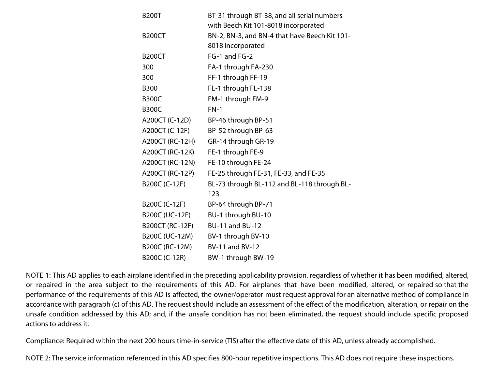| <b>B200T</b>    | BT-31 through BT-38, and all serial numbers   |
|-----------------|-----------------------------------------------|
|                 | with Beech Kit 101-8018 incorporated          |
| <b>B200CT</b>   | BN-2, BN-3, and BN-4 that have Beech Kit 101- |
|                 | 8018 incorporated                             |
| <b>B200CT</b>   | FG-1 and FG-2                                 |
| 300             | FA-1 through FA-230                           |
| 300             | FF-1 through FF-19                            |
| <b>B300</b>     | FL-1 through FL-138                           |
| <b>B300C</b>    | FM-1 through FM-9                             |
| <b>B300C</b>    | $FN-1$                                        |
| A200CT (C-12D)  | BP-46 through BP-51                           |
| A200CT (C-12F)  | BP-52 through BP-63                           |
| A200CT (RC-12H) | GR-14 through GR-19                           |
| A200CT (RC-12K) | FE-1 through FE-9                             |
| A200CT (RC-12N) | FE-10 through FE-24                           |
| A200CT (RC-12P) | FE-25 through FE-31, FE-33, and FE-35         |
| B200C (C-12F)   | BL-73 through BL-112 and BL-118 through BL-   |
|                 | 123                                           |
| B200C (C-12F)   | BP-64 through BP-71                           |
| B200C (UC-12F)  | BU-1 through BU-10                            |
| B200CT (RC-12F) | <b>BU-11 and BU-12</b>                        |
| B200C (UC-12M)  | BV-1 through BV-10                            |
| B200C (RC-12M)  | <b>BV-11 and BV-12</b>                        |
| B200C (C-12R)   | BW-1 through BW-19                            |

NOTE 1: This AD applies to each airplane identified in the preceding applicability provision, regardless of whether it has been modified, altered, or repaired in the area subject to the requirements of this AD. For airplanes that have been modified, altered, or repaired so that the performance of the requirements of this AD is affected, the owner/operator must request approval for an alternative method of compliance in accordance with paragraph (c) of this AD. The request should include an assessment of the effect of the modification, alteration, or repair on the unsafe condition addressed by this AD; and, if the unsafe condition has not been eliminated, the request should include specific proposed actions to address it.

Compliance: Required within the next 200 hours time-in-service (TIS) after the effective date of this AD, unless already accomplished.

NOTE 2: The service information referenced in this AD specifies 800-hour repetitive inspections. This AD does not require these inspections.